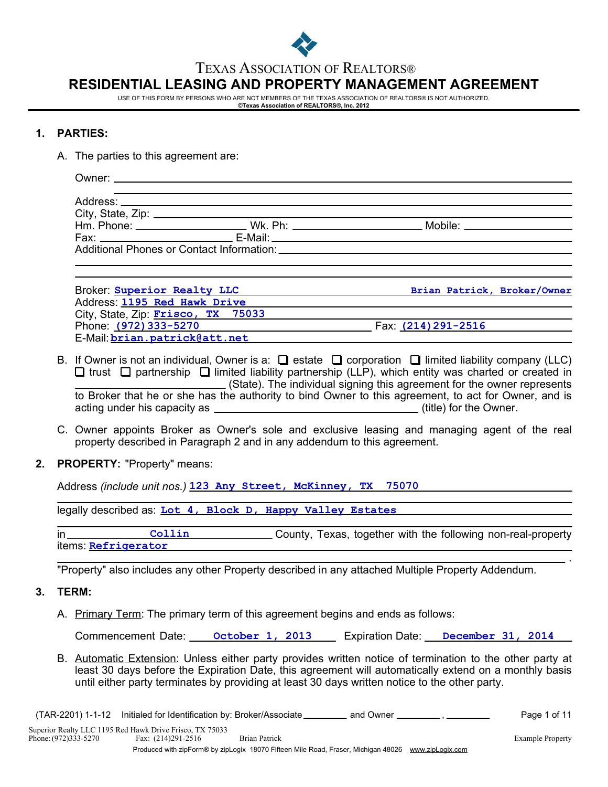

### TEXAS ASSOCIATION OF REALTORS®

# **RESIDENTIAL LEASING AND PROPERTY MANAGEMENT AGREEMENT**

USE OF THIS FORM BY PERSONS WHO ARE NOT MEMBERS OF THE TEXAS ASSOCIATION OF REALTORS® IS NOT AUTHORIZED. **©Texas Association of REALTORS®, Inc. 2012**

### **1. PARTIES:**

A. The parties to this agreement are:

| Hm. Phone: ________________________Wk. Ph: _____________________________Mobile: ____________________                                 |  |
|--------------------------------------------------------------------------------------------------------------------------------------|--|
|                                                                                                                                      |  |
| Additional Phones or Contact Information: Network and the Contact Information of the Contact Information of the Contact Information: |  |

| Broker: Superior Realty LLC        | Brian Patrick, Broker/Owner |  |
|------------------------------------|-----------------------------|--|
| Address: 1195 Red Hawk Drive       |                             |  |
| City, State, Zip: Frisco, TX 75033 |                             |  |
| Phone: (972) 333-5270              | Fax (214) 291-2516          |  |
| E-Mail: brian.patrick@att.net      |                             |  |

- B. If Owner is not an individual, Owner is a:  $\Box$  estate  $\Box$  corporation  $\Box$  limited liability company (LLC)  $\Box$  trust  $\Box$  partnership  $\Box$  limited liability partnership (LLP), which entity was charted or created in (State). The individual signing this agreement for the owner represents to Broker that he or she has the authority to bind Owner to this agreement, to act for Owner, and is acting under his capacity as  $\qquad \qquad$  (title) for the Owner.
- C. Owner appoints Broker as Owner's sole and exclusive leasing and managing agent of the real property described in Paragraph 2 and in any addendum to this agreement.
- **2. PROPERTY:** "Property" means:

Address *(include unit nos.)* **123 Any Street, McKinney, TX 75070**

legally described as: **Lot 4, Block D, Happy Valley Estates**

in Collin County, Texas, together with the following non-real-property items: **Refrigerator Collin**

"Property" also includes any other Property described in any attached Multiple Property Addendum.

#### **3. TERM:**

A. Primary Term: The primary term of this agreement begins and ends as follows:

Commencement Date: **October 1, 2013** Expiration Date: December 31, 2014

B. Automatic Extension: Unless either party provides written notice of termination to the other party at least 30 days before the Expiration Date, this agreement will automatically extend on a monthly basis until either party terminates by providing at least 30 days written notice to the other party.

(TAR-2201) 1-1-12 Initialed for Identification by: Broker/Associate \_\_\_\_\_\_\_\_\_ and Owner \_\_\_\_\_\_\_\_\_, \_\_\_\_\_\_\_\_\_\_ Page 1 of 11

.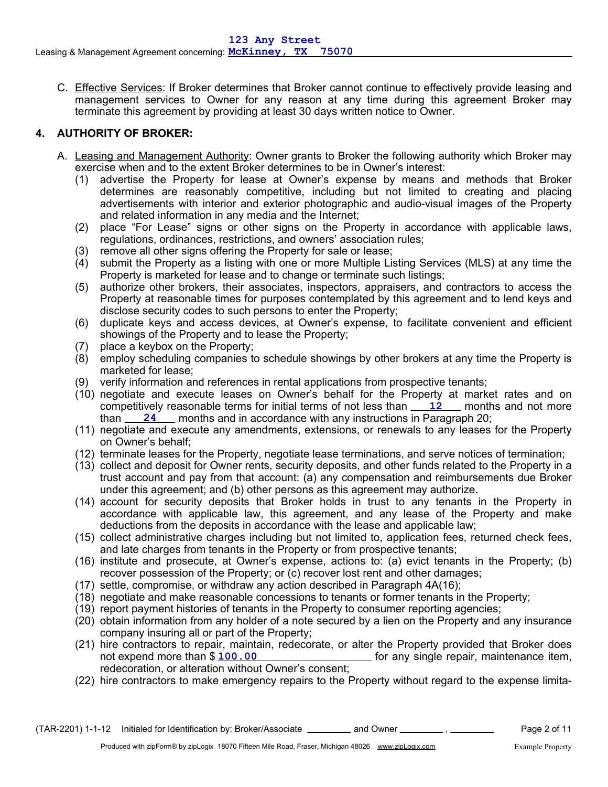C. Effective Services: If Broker determines that Broker cannot continue to effectively provide leasing and management services to Owner for any reason at any time during this agreement Broker may terminate this agreement by providing at least 30 days written notice to Owner.

# **4. AUTHORITY OF BROKER:**

- A. Leasing and Management Authority: Owner grants to Broker the following authority which Broker may exercise when and to the extent Broker determines to be in Owner's interest:
	- (1) advertise the Property for lease at Owner's expense by means and methods that Broker determines are reasonably competitive, including but not limited to creating and placing advertisements with interior and exterior photographic and audio-visual images of the Property and related information in any media and the Internet;
	- (2) place "For Lease" signs or other signs on the Property in accordance with applicable laws, regulations, ordinances, restrictions, and owners' association rules;
	- (3) remove all other signs offering the Property for sale or lease;
	- (4) submit the Property as a listing with one or more Multiple Listing Services (MLS) at any time the Property is marketed for lease and to change or terminate such listings;
	- (5) authorize other brokers, their associates, inspectors, appraisers, and contractors to access the Property at reasonable times for purposes contemplated by this agreement and to lend keys and disclose security codes to such persons to enter the Property;
	- (6) duplicate keys and access devices, at Owner's expense, to facilitate convenient and efficient showings of the Property and to lease the Property;
	- (7) place a keybox on the Property;
	- (8) employ scheduling companies to schedule showings by other brokers at any time the Property is marketed for lease;
	- (9) verify information and references in rental applications from prospective tenants;
	- (10) negotiate and execute leases on Owner's behalf for the Property at market rates and on competitively reasonable terms for initial terms of not less than **12** Amonths and not more than <u>24</u> months and in accordance with any instructions in Paragraph 20;
	- (11) negotiate and execute any amendments, extensions, or renewals to any leases for the Property on Owner's behalf;
	- (12) terminate leases for the Property, negotiate lease terminations, and serve notices of termination;
	- (13) collect and deposit for Owner rents, security deposits, and other funds related to the Property in a trust account and pay from that account: (a) any compensation and reimbursements due Broker under this agreement; and (b) other persons as this agreement may authorize.
	- (14) account for security deposits that Broker holds in trust to any tenants in the Property in accordance with applicable law, this agreement, and any lease of the Property and make deductions from the deposits in accordance with the lease and applicable law;
	- (15) collect administrative charges including but not limited to, application fees, returned check fees, and late charges from tenants in the Property or from prospective tenants;
	- (16) institute and prosecute, at Owner's expense, actions to: (a) evict tenants in the Property; (b) recover possession of the Property; or (c) recover lost rent and other damages;
	- (17) settle, compromise, or withdraw any action described in Paragraph 4A(16);
	- (18) negotiate and make reasonable concessions to tenants or former tenants in the Property;
	- (19) report payment histories of tenants in the Property to consumer reporting agencies;
	- (20) obtain information from any holder of a note secured by a lien on the Property and any insurance company insuring all or part of the Property;
	- (21) hire contractors to repair, maintain, redecorate, or alter the Property provided that Broker does <sub>not</sub> for any single repair, maintenance item, redecoration, or alteration without Owner's consent; not expend more than \$100.00
	- (22) hire contractors to make emergency repairs to the Property without regard to the expense limita-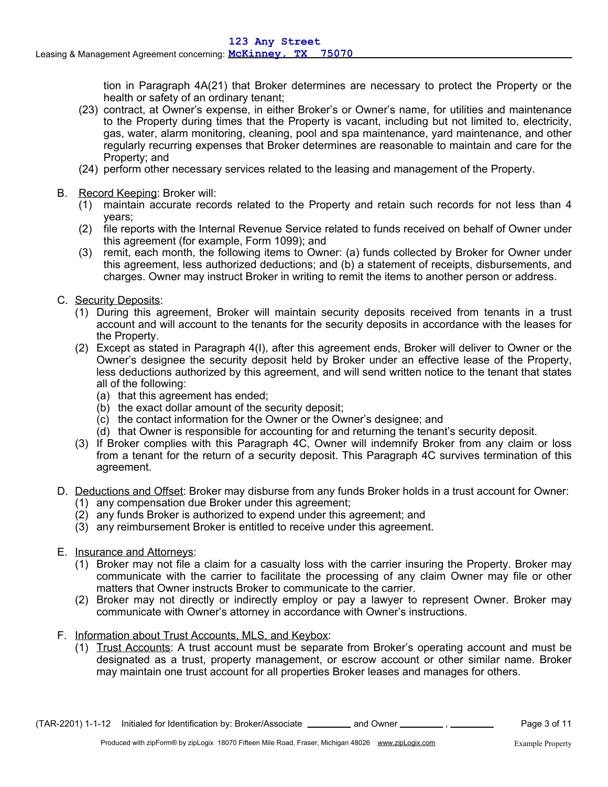tion in Paragraph 4A(21) that Broker determines are necessary to protect the Property or the health or safety of an ordinary tenant;

- (23) contract, at Owner's expense, in either Broker's or Owner's name, for utilities and maintenance to the Property during times that the Property is vacant, including but not limited to, electricity, gas, water, alarm monitoring, cleaning, pool and spa maintenance, yard maintenance, and other regularly recurring expenses that Broker determines are reasonable to maintain and care for the Property; and
- (24) perform other necessary services related to the leasing and management of the Property.
- B. Record Keeping: Broker will:
	- (1) maintain accurate records related to the Property and retain such records for not less than 4 years;
	- (2) file reports with the Internal Revenue Service related to funds received on behalf of Owner under this agreement (for example, Form 1099); and
	- (3) remit, each month, the following items to Owner: (a) funds collected by Broker for Owner under this agreement, less authorized deductions; and (b) a statement of receipts, disbursements, and charges. Owner may instruct Broker in writing to remit the items to another person or address.
- C. Security Deposits:
	- (1) During this agreement, Broker will maintain security deposits received from tenants in a trust account and will account to the tenants for the security deposits in accordance with the leases for the Property.
	- (2) Except as stated in Paragraph 4(I), after this agreement ends, Broker will deliver to Owner or the Owner's designee the security deposit held by Broker under an effective lease of the Property, less deductions authorized by this agreement, and will send written notice to the tenant that states all of the following:
		- (a) that this agreement has ended;
		- (b) the exact dollar amount of the security deposit;
		- (c) the contact information for the Owner or the Owner's designee; and
		- (d) that Owner is responsible for accounting for and returning the tenant's security deposit.
	- (3) If Broker complies with this Paragraph 4C, Owner will indemnify Broker from any claim or loss from a tenant for the return of a security deposit. This Paragraph 4C survives termination of this agreement.
- D. Deductions and Offset: Broker may disburse from any funds Broker holds in a trust account for Owner:
	- (1) any compensation due Broker under this agreement;
	- (2) any funds Broker is authorized to expend under this agreement; and
	- (3) any reimbursement Broker is entitled to receive under this agreement.
- E. Insurance and Attorneys:
	- (1) Broker may not file a claim for a casualty loss with the carrier insuring the Property. Broker may communicate with the carrier to facilitate the processing of any claim Owner may file or other matters that Owner instructs Broker to communicate to the carrier.
	- (2) Broker may not directly or indirectly employ or pay a lawyer to represent Owner. Broker may communicate with Owner's attorney in accordance with Owner's instructions.
- F. Information about Trust Accounts, MLS, and Keybox:
	- (1) Trust Accounts: A trust account must be separate from Broker's operating account and must be designated as a trust, property management, or escrow account or other similar name. Broker may maintain one trust account for all properties Broker leases and manages for others.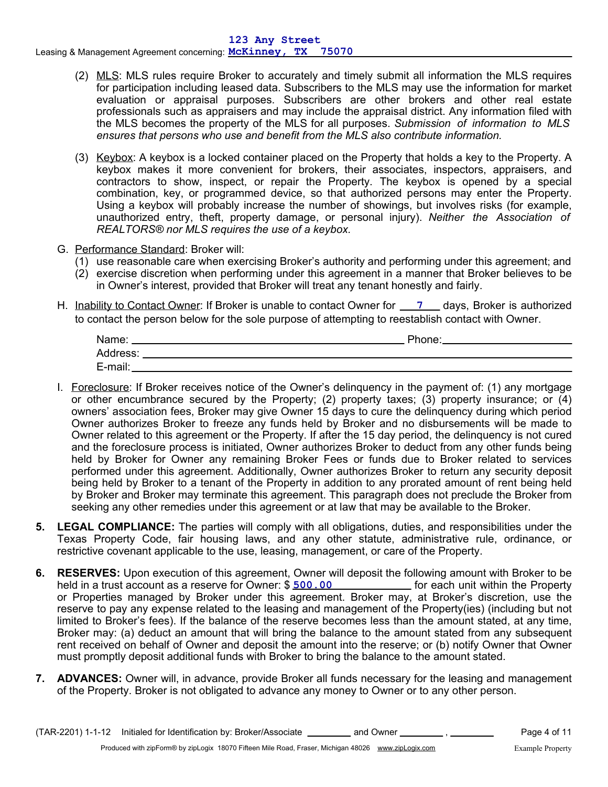- (2) MLS: MLS rules require Broker to accurately and timely submit all information the MLS requires for participation including leased data. Subscribers to the MLS may use the information for market evaluation or appraisal purposes. Subscribers are other brokers and other real estate professionals such as appraisers and may include the appraisal district. Any information filed with the MLS becomes the property of the MLS for all purposes. *Submission of information to MLS ensures that persons who use and benefit from the MLS also contribute information.*
- (3) Keybox: A keybox is a locked container placed on the Property that holds a key to the Property. A keybox makes it more convenient for brokers, their associates, inspectors, appraisers, and contractors to show, inspect, or repair the Property. The keybox is opened by a special combination, key, or programmed device, so that authorized persons may enter the Property. Using a keybox will probably increase the number of showings, but involves risks (for example, unauthorized entry, theft, property damage, or personal injury). *Neither the Association of REALTORS® nor MLS requires the use of a keybox.*
- G. Performance Standard: Broker will:
	- (1) use reasonable care when exercising Broker's authority and performing under this agreement; and
	- (2) exercise discretion when performing under this agreement in a manner that Broker believes to be in Owner's interest, provided that Broker will treat any tenant honestly and fairly.
- H. Inability to Contact Owner: If Broker is unable to contact Owner for **1997 Lays**, Broker is authorized to contact the person below for the sole purpose of attempting to reestablish contact with Owner.

| Name:    | Phone: |
|----------|--------|
| Address: |        |
| E-mail:  |        |

- I. Foreclosure: If Broker receives notice of the Owner's delinquency in the payment of: (1) any mortgage or other encumbrance secured by the Property; (2) property taxes; (3) property insurance; or (4) owners' association fees, Broker may give Owner 15 days to cure the delinquency during which period Owner authorizes Broker to freeze any funds held by Broker and no disbursements will be made to Owner related to this agreement or the Property. If after the 15 day period, the delinquency is not cured and the foreclosure process is initiated, Owner authorizes Broker to deduct from any other funds being held by Broker for Owner any remaining Broker Fees or funds due to Broker related to services performed under this agreement. Additionally, Owner authorizes Broker to return any security deposit being held by Broker to a tenant of the Property in addition to any prorated amount of rent being held by Broker and Broker may terminate this agreement. This paragraph does not preclude the Broker from seeking any other remedies under this agreement or at law that may be available to the Broker.
- **5. LEGAL COMPLIANCE:** The parties will comply with all obligations, duties, and responsibilities under the Texas Property Code, fair housing laws, and any other statute, administrative rule, ordinance, or restrictive covenant applicable to the use, leasing, management, or care of the Property.
- **6. RESERVES:** Upon execution of this agreement, Owner will deposit the following amount with Broker to be held in a trust account as a reserve for Owner: \$ **500.00** [60] [60] [60] [60] [60] [60] [60] for each unit within the Property or Properties managed by Broker under this agreement. Broker may, at Broker's discretion, use the reserve to pay any expense related to the leasing and management of the Property(ies) (including but not limited to Broker's fees). If the balance of the reserve becomes less than the amount stated, at any time, Broker may: (a) deduct an amount that will bring the balance to the amount stated from any subsequent rent received on behalf of Owner and deposit the amount into the reserve; or (b) notify Owner that Owner must promptly deposit additional funds with Broker to bring the balance to the amount stated.
- **7. ADVANCES:** Owner will, in advance, provide Broker all funds necessary for the leasing and management of the Property. Broker is not obligated to advance any money to Owner or to any other person.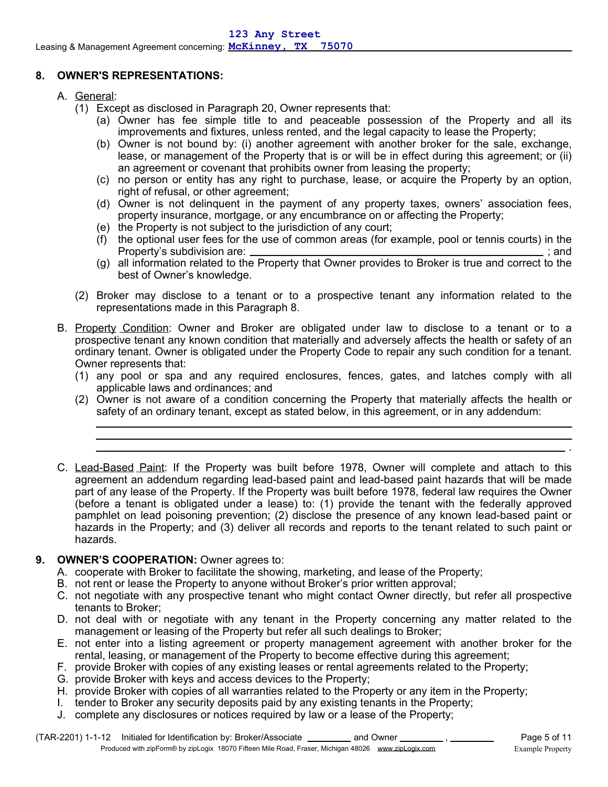## **8. OWNER'S REPRESENTATIONS:**

- A. General:
	- (1) Except as disclosed in Paragraph 20, Owner represents that:
		- (a) Owner has fee simple title to and peaceable possession of the Property and all its improvements and fixtures, unless rented, and the legal capacity to lease the Property;
		- (b) Owner is not bound by: (i) another agreement with another broker for the sale, exchange, lease, or management of the Property that is or will be in effect during this agreement; or (ii) an agreement or covenant that prohibits owner from leasing the property;
		- (c) no person or entity has any right to purchase, lease, or acquire the Property by an option, right of refusal, or other agreement;
		- (d) Owner is not delinquent in the payment of any property taxes, owners' association fees, property insurance, mortgage, or any encumbrance on or affecting the Property;
		- (e) the Property is not subject to the jurisdiction of any court;
		- (f) the optional user fees for the use of common areas (for example, pool or tennis courts) in the Property's subdivision are: ; and
		- (g) all information related to the Property that Owner provides to Broker is true and correct to the best of Owner's knowledge.
	- (2) Broker may disclose to a tenant or to a prospective tenant any information related to the representations made in this Paragraph 8.
- B. Property Condition: Owner and Broker are obligated under law to disclose to a tenant or to a prospective tenant any known condition that materially and adversely affects the health or safety of an ordinary tenant. Owner is obligated under the Property Code to repair any such condition for a tenant. Owner represents that:
	- (1) any pool or spa and any required enclosures, fences, gates, and latches comply with all applicable laws and ordinances; and
	- (2) Owner is not aware of a condition concerning the Property that materially affects the health or safety of an ordinary tenant, except as stated below, in this agreement, or in any addendum:
- C. Lead-Based Paint: If the Property was built before 1978, Owner will complete and attach to this agreement an addendum regarding lead-based paint and lead-based paint hazards that will be made part of any lease of the Property. If the Property was built before 1978, federal law requires the Owner (before a tenant is obligated under a lease) to: (1) provide the tenant with the federally approved pamphlet on lead poisoning prevention; (2) disclose the presence of any known lead-based paint or hazards in the Property; and (3) deliver all records and reports to the tenant related to such paint or hazards.

### **9. OWNER'S COOPERATION:** Owner agrees to:

- A. cooperate with Broker to facilitate the showing, marketing, and lease of the Property;
- B. not rent or lease the Property to anyone without Broker's prior written approval;
- C. not negotiate with any prospective tenant who might contact Owner directly, but refer all prospective tenants to Broker;
- D. not deal with or negotiate with any tenant in the Property concerning any matter related to the management or leasing of the Property but refer all such dealings to Broker;
- E. not enter into a listing agreement or property management agreement with another broker for the rental, leasing, or management of the Property to become effective during this agreement;
- F. provide Broker with copies of any existing leases or rental agreements related to the Property;
- G. provide Broker with keys and access devices to the Property;
- H. provide Broker with copies of all warranties related to the Property or any item in the Property;
- I. tender to Broker any security deposits paid by any existing tenants in the Property;
- J. complete any disclosures or notices required by law or a lease of the Property;

.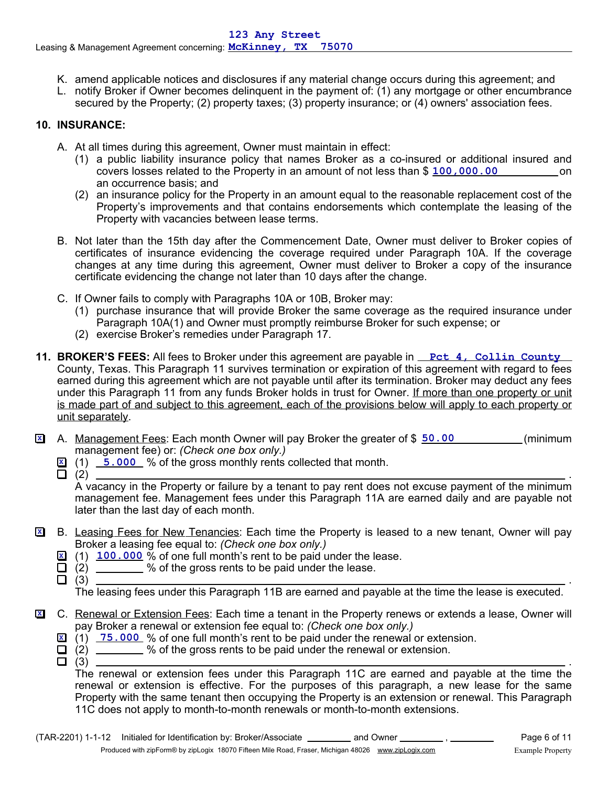- K. amend applicable notices and disclosures if any material change occurs during this agreement; and
- L. notify Broker if Owner becomes delinquent in the payment of: (1) any mortgage or other encumbrance secured by the Property; (2) property taxes; (3) property insurance; or (4) owners' association fees.

# **10. INSURANCE:**

- A. At all times during this agreement, Owner must maintain in effect:
	- (1) a public liability insurance policy that names Broker as a co-insured or additional insured and covers losses related to the Property in an amount of not less than \$  $\frac{100,000,00}{000,000}$  on an occurrence basis; and
	- (2) an insurance policy for the Property in an amount equal to the reasonable replacement cost of the Property's improvements and that contains endorsements which contemplate the leasing of the Property with vacancies between lease terms.
- B. Not later than the 15th day after the Commencement Date, Owner must deliver to Broker copies of certificates of insurance evidencing the coverage required under Paragraph 10A. If the coverage changes at any time during this agreement, Owner must deliver to Broker a copy of the insurance certificate evidencing the change not later than 10 days after the change.
- C. If Owner fails to comply with Paragraphs 10A or 10B, Broker may:
	- (1) purchase insurance that will provide Broker the same coverage as the required insurance under Paragraph 10A(1) and Owner must promptly reimburse Broker for such expense; or
	- (2) exercise Broker's remedies under Paragraph 17.
- **11. BROKER'S FEES:** All fees to Broker under this agreement are payable in <u>Pct 4, Collin County</u> County, Texas. This Paragraph 11 survives termination or expiration of this agreement with regard to fees earned during this agreement which are not payable until after its termination. Broker may deduct any fees under this Paragraph 11 from any funds Broker holds in trust for Owner. If more than one property or unit is made part of and subject to this agreement, each of the provisions below will apply to each property or unit separately.
- **X** A. Management Fees: Each month Owner will pay Broker the greater of \$  $\frac{50.00}{2}$  (minimum management fee) or: *(Check one box only.)*
	- **X** (1) **5.000** % of the gross monthly rents collected that month.
	-

(2) . A vacancy in the Property or failure by a tenant to pay rent does not excuse payment of the minimum management fee. Management fees under this Paragraph 11A are earned daily and are payable not later than the last day of each month.

- B. Leasing Fees for New Tenancies: Each time the Property is leased to a new tenant, Owner will pay Broker a leasing fee equal to: *(Check one box only.)* **X**
	- **X** (1) **100.000** % of one full month's rent to be paid under the lease.
	- $\Box$  (2)  $\Box$  % of the gross rents to be paid under the lease.<br> $\Box$  (3)
	-

(3) . The leasing fees under this Paragraph 11B are earned and payable at the time the lease is executed.

- C. Renewal or Extension Fees: Each time a tenant in the Property renews or extends a lease, Owner will pay Broker a renewal or extension fee equal to: *(Check one box only.)* **X**
	- **X** (1) **75.000** % of one full month's rent to be paid under the renewal or extension.
	- $\Box$  (2)  $\Box$  % of the gross rents to be paid under the renewal or extension.<br> $\Box$  (3) (3) .
		-

The renewal or extension fees under this Paragraph 11C are earned and payable at the time the renewal or extension is effective. For the purposes of this paragraph, a new lease for the same Property with the same tenant then occupying the Property is an extension or renewal. This Paragraph 11C does not apply to month-to-month renewals or month-to-month extensions.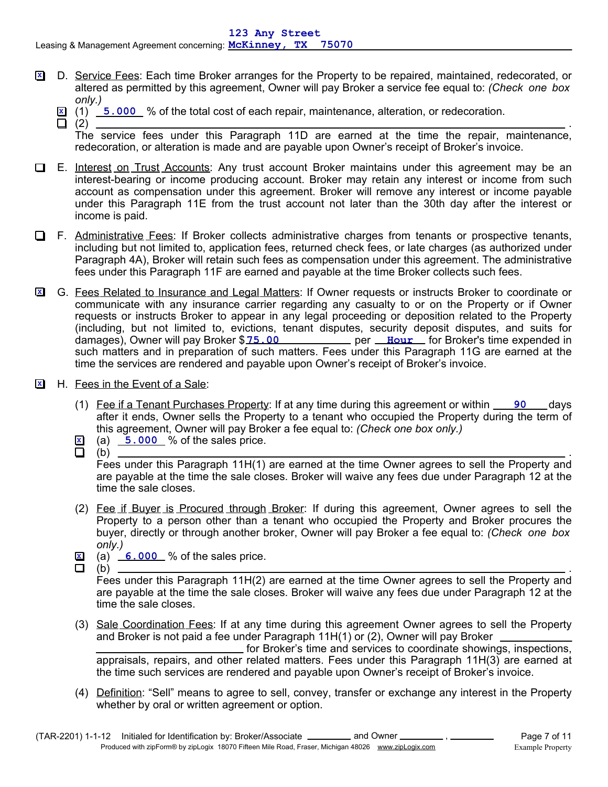- D. Service Fees: Each time Broker arranges for the Property to be repaired, maintained, redecorated, or **X** altered as permitted by this agreement, Owner will pay Broker a service fee equal to: *(Check one box only.)*
	- **X** (1) **5.000** % of the total cost of each repair, maintenance, alteration, or redecoration.
		- (2) . The service fees under this Paragraph 11D are earned at the time the repair, maintenance, redecoration, or alteration is made and are payable upon Owner's receipt of Broker's invoice.
- E. Interest on Trust Accounts: Any trust account Broker maintains under this agreement may be an interest-bearing or income producing account. Broker may retain any interest or income from such account as compensation under this agreement. Broker will remove any interest or income payable under this Paragraph 11E from the trust account not later than the 30th day after the interest or income is paid.
- F. Administrative Fees: If Broker collects administrative charges from tenants or prospective tenants, including but not limited to, application fees, returned check fees, or late charges (as authorized under Paragraph 4A), Broker will retain such fees as compensation under this agreement. The administrative fees under this Paragraph 11F are earned and payable at the time Broker collects such fees.
- G. Fees Related to Insurance and Legal Matters: If Owner requests or instructs Broker to coordinate or **X** communicate with any insurance carrier regarding any casualty to or on the Property or if Owner requests or instructs Broker to appear in any legal proceeding or deposition related to the Property (including, but not limited to, evictions, tenant disputes, security deposit disputes, and suits for damages), Owner will pay Broker \$ **75.00 hetable in the UK and Taragery Conserts** time expended in such matters and in preparation of such matters. Fees under this Paragraph 11G are earned at the time the services are rendered and payable upon Owner's receipt of Broker's invoice.
- H. Fees in the Event of a Sale: **X**
	- (1) Fee if a Tenant Purchases Property: If at any time during this agreement or within <u>90</u> days after it ends, Owner sells the Property to a tenant who occupied the Property during the term of this agreement, Owner will pay Broker a fee equal to: *(Check one box only.)*
	- **X** (a) 5.000 % of the sales price.
	-

(b) . Fees under this Paragraph 11H(1) are earned at the time Owner agrees to sell the Property and are payable at the time the sale closes. Broker will waive any fees due under Paragraph 12 at the time the sale closes.

- (2) Fee if Buyer is Procured through Broker: If during this agreement, Owner agrees to sell the Property to a person other than a tenant who occupied the Property and Broker procures the buyer, directly or through another broker, Owner will pay Broker a fee equal to: *(Check one box only.)*
- **X** (a) 6.000 % of the sales price.
- 

(b) . Fees under this Paragraph 11H(2) are earned at the time Owner agrees to sell the Property and are payable at the time the sale closes. Broker will waive any fees due under Paragraph 12 at the time the sale closes.

(3) Sale Coordination Fees: If at any time during this agreement Owner agrees to sell the Property and Broker is not paid a fee under Paragraph 11H(1) or (2), Owner will pay Broker for Broker's time and services to coordinate showings, inspections,

appraisals, repairs, and other related matters. Fees under this Paragraph 11H(3) are earned at the time such services are rendered and payable upon Owner's receipt of Broker's invoice.

(4) Definition: "Sell" means to agree to sell, convey, transfer or exchange any interest in the Property whether by oral or written agreement or option.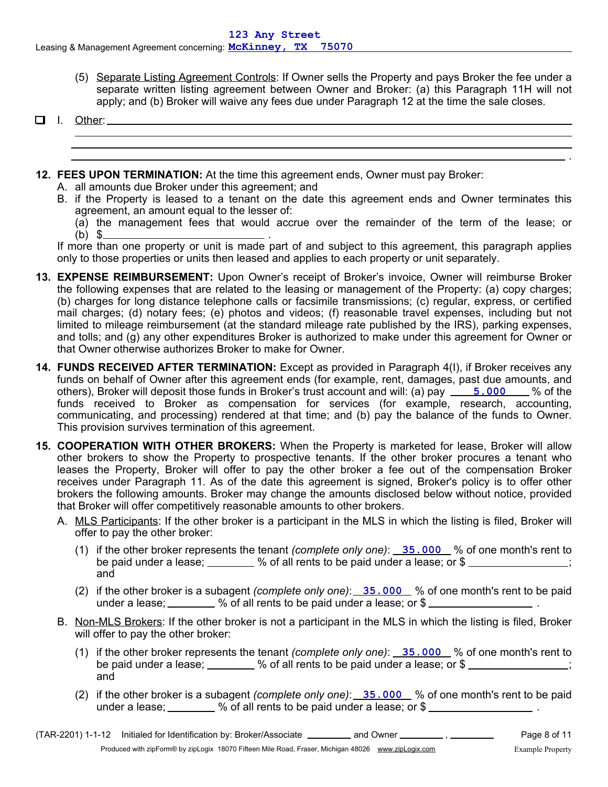- (5) Separate Listing Agreement Controls: If Owner sells the Property and pays Broker the fee under a separate written listing agreement between Owner and Broker: (a) this Paragraph 11H will not apply; and (b) Broker will waive any fees due under Paragraph 12 at the time the sale closes.
- $\Box$  I. Other:
- **12. FEES UPON TERMINATION:** At the time this agreement ends, Owner must pay Broker:
	- A. all amounts due Broker under this agreement; and
	- B. if the Property is leased to a tenant on the date this agreement ends and Owner terminates this agreement, an amount equal to the lesser of:
		- (a) the management fees that would accrue over the remainder of the term of the lease; or (b) \$ .

If more than one property or unit is made part of and subject to this agreement, this paragraph applies only to those properties or units then leased and applies to each property or unit separately.

- **13. EXPENSE REIMBURSEMENT:** Upon Owner's receipt of Broker's invoice, Owner will reimburse Broker the following expenses that are related to the leasing or management of the Property: (a) copy charges; (b) charges for long distance telephone calls or facsimile transmissions; (c) regular, express, or certified mail charges; (d) notary fees; (e) photos and videos; (f) reasonable travel expenses, including but not limited to mileage reimbursement (at the standard mileage rate published by the IRS), parking expenses, and tolls; and (g) any other expenditures Broker is authorized to make under this agreement for Owner or that Owner otherwise authorizes Broker to make for Owner.
- others), Broker will deposit those funds in Broker's trust account and will: (a) pay <u>15.000</u> by of the **14. FUNDS RECEIVED AFTER TERMINATION:** Except as provided in Paragraph 4(I), if Broker receives any funds on behalf of Owner after this agreement ends (for example, rent, damages, past due amounts, and funds received to Broker as compensation for services (for example, research, accounting, communicating, and processing) rendered at that time; and (b) pay the balance of the funds to Owner. This provision survives termination of this agreement.
- **15. COOPERATION WITH OTHER BROKERS:** When the Property is marketed for lease, Broker will allow other brokers to show the Property to prospective tenants. If the other broker procures a tenant who leases the Property, Broker will offer to pay the other broker a fee out of the compensation Broker receives under Paragraph 11. As of the date this agreement is signed, Broker's policy is to offer other brokers the following amounts. Broker may change the amounts disclosed below without notice, provided that Broker will offer competitively reasonable amounts to other brokers.
	- A. MLS Participants: If the other broker is a participant in the MLS in which the listing is filed, Broker will offer to pay the other broker:
		- (1) if the other broker represents the tenant *(complete only one)*: <u>35.000</u> % of one month's rent to be paid under a lease;  $\frac{1}{2}$  % of all rents to be paid under a lease; or \$ and
		- (2) if the other broker is a subagent *(complete only one)*: 35.000 % of one month's rent to be paid under a lease;  $\frac{1}{1}$  % of all rents to be paid under a lease; or \$
	- B. Non-MLS Brokers: If the other broker is not a participant in the MLS in which the listing is filed, Broker will offer to pay the other broker:
		- (1) if the other broker represents the tenant *(complete only one)*: <u>35.000</u> % of one month's rent to be paid under a lease;  $\frac{1}{2}$  % of all rents to be paid under a lease; or \$ and
		- (2) if the other broker is a subagent *(complete only one)*: 35.000 % of one month's rent to be paid under a lease;  $\frac{1}{2}$  % of all rents to be paid under a lease; or \$  $\frac{1}{2}$  .

.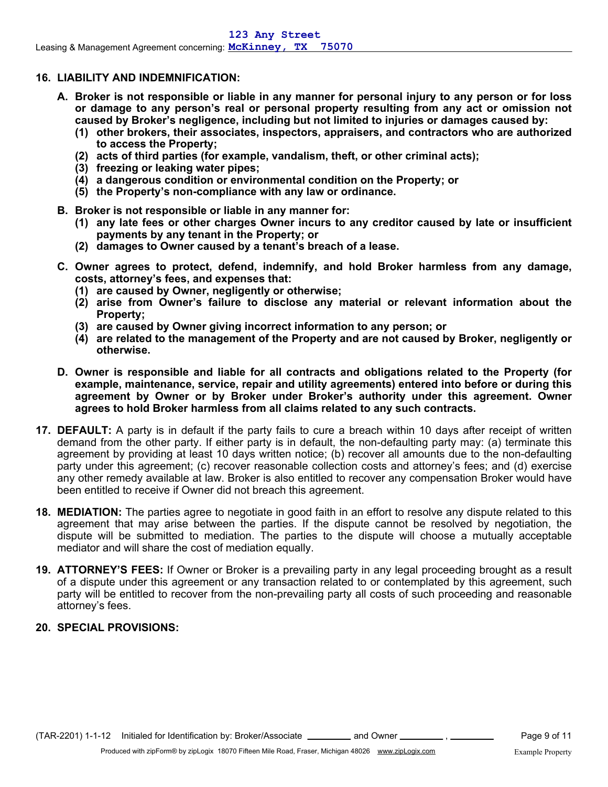#### **16. LIABILITY AND INDEMNIFICATION:**

- **A. Broker is not responsible or liable in any manner for personal injury to any person or for loss or damage to any person's real or personal property resulting from any act or omission not caused by Broker's negligence, including but not limited to injuries or damages caused by:**
	- **(1) other brokers, their associates, inspectors, appraisers, and contractors who are authorized to access the Property;**
	- **(2) acts of third parties (for example, vandalism, theft, or other criminal acts);**
	- **(3) freezing or leaking water pipes;**
	- **(4) a dangerous condition or environmental condition on the Property; or**
	- **(5) the Property's non-compliance with any law or ordinance.**
- **B. Broker is not responsible or liable in any manner for:**
	- **(1) any late fees or other charges Owner incurs to any creditor caused by late or insufficient payments by any tenant in the Property; or**
	- **(2) damages to Owner caused by a tenant's breach of a lease.**
- **C. Owner agrees to protect, defend, indemnify, and hold Broker harmless from any damage, costs, attorney's fees, and expenses that:**
	- **(1) are caused by Owner, negligently or otherwise;**
	- **(2) arise from Owner's failure to disclose any material or relevant information about the Property;**
	- **(3) are caused by Owner giving incorrect information to any person; or**
	- **(4) are related to the management of the Property and are not caused by Broker, negligently or otherwise.**
- **D. Owner is responsible and liable for all contracts and obligations related to the Property (for example, maintenance, service, repair and utility agreements) entered into before or during this agreement by Owner or by Broker under Broker's authority under this agreement. Owner agrees to hold Broker harmless from all claims related to any such contracts.**
- **17. DEFAULT:** A party is in default if the party fails to cure a breach within 10 days after receipt of written demand from the other party. If either party is in default, the non-defaulting party may: (a) terminate this agreement by providing at least 10 days written notice; (b) recover all amounts due to the non-defaulting party under this agreement; (c) recover reasonable collection costs and attorney's fees; and (d) exercise any other remedy available at law. Broker is also entitled to recover any compensation Broker would have been entitled to receive if Owner did not breach this agreement.
- **18. MEDIATION:** The parties agree to negotiate in good faith in an effort to resolve any dispute related to this agreement that may arise between the parties. If the dispute cannot be resolved by negotiation, the dispute will be submitted to mediation. The parties to the dispute will choose a mutually acceptable mediator and will share the cost of mediation equally.
- **19. ATTORNEY'S FEES:** If Owner or Broker is a prevailing party in any legal proceeding brought as a result of a dispute under this agreement or any transaction related to or contemplated by this agreement, such party will be entitled to recover from the non-prevailing party all costs of such proceeding and reasonable attorney's fees.

### **20. SPECIAL PROVISIONS:**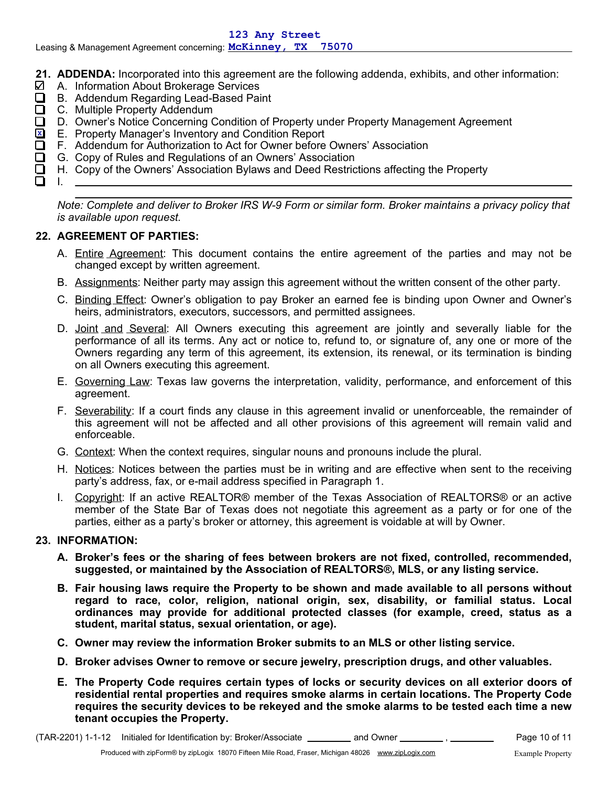- **21. ADDENDA:** Incorporated into this agreement are the following addenda, exhibits, and other information:
- $\boldsymbol{\mathsf{Z}}$  A. Information About Brokerage Services
- B. Addendum Regarding Lead-Based Paint
- $\Box$ C. Multiple Property Addendum
- D. Owner's Notice Concerning Condition of Property under Property Management Agreement □
- E. Property Manager's Inventory and Condition Report **X**
- $\Box$ F. Addendum for Authorization to Act for Owner before Owners' Association
	- G. Copy of Rules and Regulations of an Owners' Association
- H. Copy of the Owners' Association Bylaws and Deed Restrictions affecting the Property □

◻ I.

> *Note: Complete and deliver to Broker IRS W-9 Form or similar form. Broker maintains a privacy policy that is available upon request.*

## **22. AGREEMENT OF PARTIES:**

- A. Entire Agreement: This document contains the entire agreement of the parties and may not be changed except by written agreement.
- B. Assignments: Neither party may assign this agreement without the written consent of the other party.
- C. Binding Effect: Owner's obligation to pay Broker an earned fee is binding upon Owner and Owner's heirs, administrators, executors, successors, and permitted assignees.
- D. Joint and Several: All Owners executing this agreement are jointly and severally liable for the performance of all its terms. Any act or notice to, refund to, or signature of, any one or more of the Owners regarding any term of this agreement, its extension, its renewal, or its termination is binding on all Owners executing this agreement.
- E. Governing Law: Texas law governs the interpretation, validity, performance, and enforcement of this agreement.
- F. Severability: If a court finds any clause in this agreement invalid or unenforceable, the remainder of this agreement will not be affected and all other provisions of this agreement will remain valid and enforceable.
- G. Context: When the context requires, singular nouns and pronouns include the plural.
- H. Notices: Notices between the parties must be in writing and are effective when sent to the receiving party's address, fax, or e-mail address specified in Paragraph 1.
- I. Copyright: If an active REALTOR® member of the Texas Association of REALTORS® or an active member of the State Bar of Texas does not negotiate this agreement as a party or for one of the parties, either as a party's broker or attorney, this agreement is voidable at will by Owner.

### **23. INFORMATION:**

- **A. Broker's fees or the sharing of fees between brokers are not fixed, controlled, recommended, suggested, or maintained by the Association of REALTORS®, MLS, or any listing service.**
- **B. Fair housing laws require the Property to be shown and made available to all persons without regard to race, color, religion, national origin, sex, disability, or familial status. Local ordinances may provide for additional protected classes (for example, creed, status as a student, marital status, sexual orientation, or age).**
- **C. Owner may review the information Broker submits to an MLS or other listing service.**
- **D. Broker advises Owner to remove or secure jewelry, prescription drugs, and other valuables.**
- **E. The Property Code requires certain types of locks or security devices on all exterior doors of residential rental properties and requires smoke alarms in certain locations. The Property Code requires the security devices to be rekeyed and the smoke alarms to be tested each time a new tenant occupies the Property.**